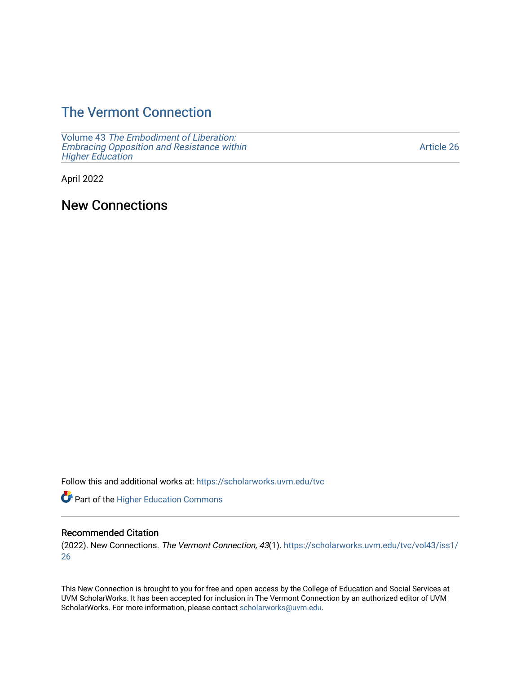## [The Vermont Connection](https://scholarworks.uvm.edu/tvc)

Volume 43 [The Embodiment of Liberation:](https://scholarworks.uvm.edu/tvc/vol43) [Embracing Opposition and Resistance within](https://scholarworks.uvm.edu/tvc/vol43)  [Higher Education](https://scholarworks.uvm.edu/tvc/vol43) 

[Article 26](https://scholarworks.uvm.edu/tvc/vol43/iss1/26) 

April 2022

New Connections

Follow this and additional works at: [https://scholarworks.uvm.edu/tvc](https://scholarworks.uvm.edu/tvc?utm_source=scholarworks.uvm.edu%2Ftvc%2Fvol43%2Fiss1%2F26&utm_medium=PDF&utm_campaign=PDFCoverPages)

Part of the [Higher Education Commons](http://network.bepress.com/hgg/discipline/1245?utm_source=scholarworks.uvm.edu%2Ftvc%2Fvol43%2Fiss1%2F26&utm_medium=PDF&utm_campaign=PDFCoverPages) 

## Recommended Citation

(2022). New Connections. The Vermont Connection, 43(1). [https://scholarworks.uvm.edu/tvc/vol43/iss1/](https://scholarworks.uvm.edu/tvc/vol43/iss1/26?utm_source=scholarworks.uvm.edu%2Ftvc%2Fvol43%2Fiss1%2F26&utm_medium=PDF&utm_campaign=PDFCoverPages) [26](https://scholarworks.uvm.edu/tvc/vol43/iss1/26?utm_source=scholarworks.uvm.edu%2Ftvc%2Fvol43%2Fiss1%2F26&utm_medium=PDF&utm_campaign=PDFCoverPages)

This New Connection is brought to you for free and open access by the College of Education and Social Services at UVM ScholarWorks. It has been accepted for inclusion in The Vermont Connection by an authorized editor of UVM ScholarWorks. For more information, please contact [scholarworks@uvm.edu](mailto:scholarworks@uvm.edu).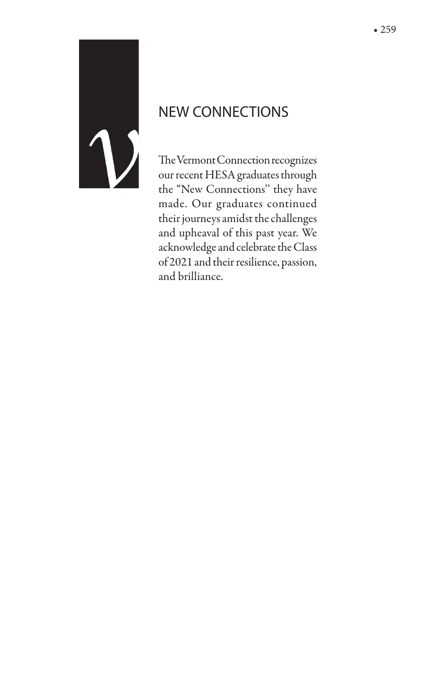

## NEW CONNECTIONS

The Vermont Connection recognizes our recent HESA graduates through the "New Connections'' they have made. Our graduates continued their journeys amidst the challenges and upheaval of this past year. We acknowledge and celebrate the Class of 2021 and their resilience, passion, and brilliance.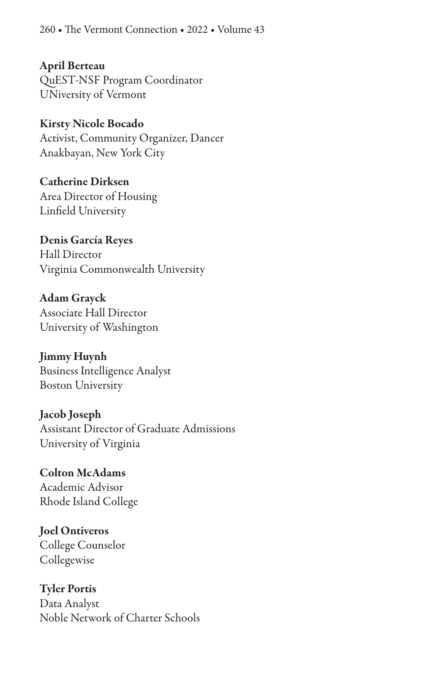260 • The Vermont Connection • 2022 • Volume 43

April Berteau QuEST-NSF Program Coordinator UNiversity of Vermont

Kirsty Nicole Bocado Activist, Community Organizer, Dancer Anakbayan, New York City

Catherine Dirksen Area Director of Housing Linfield University

Denis García Reyes Hall Director Virginia Commonwealth University

Adam Grayck Associate Hall Director University of Washington

Jimmy Huynh Business Intelligence Analyst Boston University

Jacob Joseph Assistant Director of Graduate Admissions University of Virginia

Colton McAdams Academic Advisor Rhode Island College

Joel Ontiveros College Counselor Collegewise

Tyler Portis Data Analyst Noble Network of Charter Schools